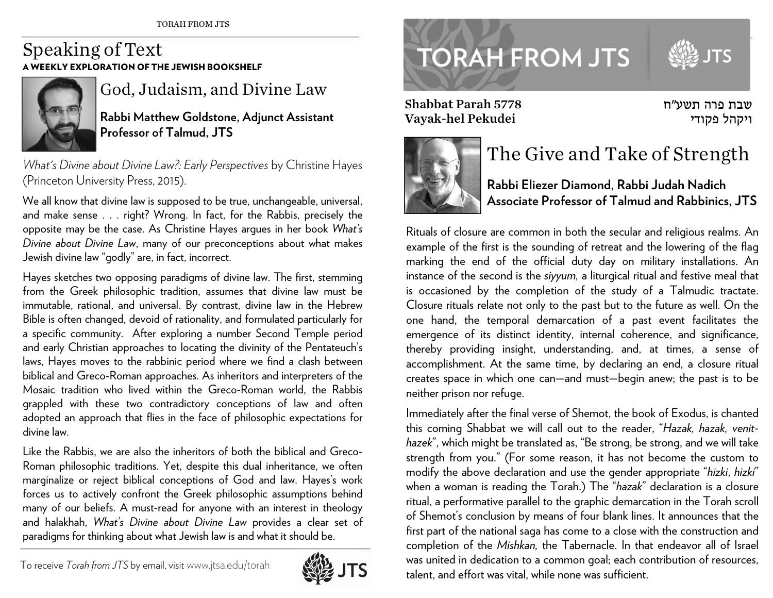## Speaking of Text A WEEKLY EXPLORATION OF THE JEWISH BOOKSHELF



God, Judaism, and Divine Law

**Rabbi Matthew Goldstone, Adjunct Assistant Professor of Talmud, JTS** 

*What's Divine about Divine Law?: Early Perspectives* by Christine Hayes (Princeton University Press, 2015).

We all know that divine law is supposed to be true, unchangeable, universal, and make sense . . . right? Wrong. In fact, for the Rabbis, precisely the opposite may be the case. As Christine Hayes argues in her book *What's Divine about Divine Law*, many of our preconceptions about what makes Jewish divine law "godly" are, in fact, incorrect.

Hayes sketches two opposing paradigms of divine law. The first, stemming from the Greek philosophic tradition, assumes that divine law must be immutable, rational, and universal. By contrast, divine law in the Hebrew Bible is often changed, devoid of rationality, and formulated particularly for a specific community. After exploring a number Second Temple period and early Christian approaches to locating the divinity of the Pentateuch's laws, Hayes moves to the rabbinic period where we find a clash between biblical and Greco-Roman approaches. As inheritors and interpreters of the Mosaic tradition who lived within the Greco-Roman world, the Rabbis grappled with these two contradictory conceptions of law and often adopted an approach that flies in the face of philosophic expectations for divine law.

Like the Rabbis, we are also the inheritors of both the biblical and Greco-Roman philosophic traditions. Yet, despite this dual inheritance, we often marginalize or reject biblical conceptions of God and law. Hayes's work forces us to actively confront the Greek philosophic assumptions behind many of our beliefs. A must-read for anyone with an interest in theology and halakhah, *What's Divine about Divine Law* provides a clear set of paradigms for thinking about what Jewish law is and what it should be.





Shabbat Parah 5778 Vayak-hel Pekudei





## The Give and Take of Strength

**Rabbi Eliezer Diamond, Rabbi Judah Nadich Associate Professor of Talmud and Rabbinics, JTS** 

Rituals of closure are common in both the secular and religious realms. An example of the first is the sounding of retreat and the lowering of the flag marking the end of the official duty day on military installations. An instance of the second is the *siyyum,* a liturgical ritual and festive meal that is occasioned by the completion of the study of a Talmudic tractate. Closure rituals relate not only to the past but to the future as well. On the one hand, the temporal demarcation of a past event facilitates the emergence of its distinct identity, internal coherence, and significance, thereby providing insight, understanding, and, at times, a sense of accomplishment. At the same time, by declaring an end, a closure ritual creates space in which one can—and must—begin anew; the past is to be neither prison nor refuge.

Immediately after the final verse of Shemot, the book of Exodus, is chanted this coming Shabbat we will call out to the reader, "*Hazak, hazak, venithazek*", which might be translated as, "Be strong, be strong, and we will take strength from you." (For some reason, it has not become the custom to modify the above declaration and use the gender appropriate "*hizki*, *hizki*" when a woman is reading the Torah.) The "*hazak*" declaration is a closure ritual, a performative parallel to the graphic demarcation in the Torah scroll of Shemot's conclusion by means of four blank lines. It announces that the first part of the national saga has come to a close with the construction and completion of the *Mishkan,* the Tabernacle. In that endeavor all of Israel was united in dedication to a common goal; each contribution of resources, talent, and effort was vital, while none was sufficient.